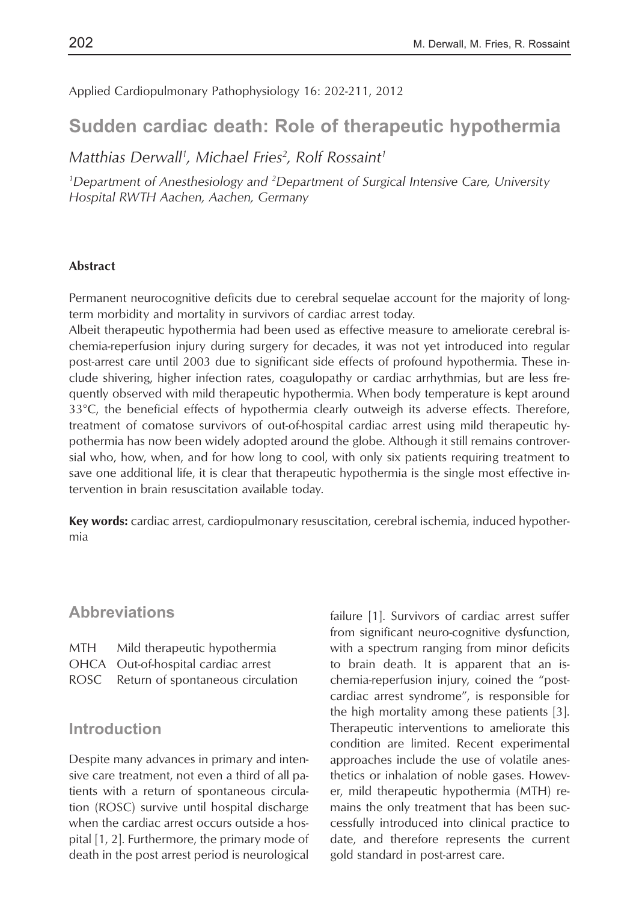Applied Cardiopulmonary Pathophysiology 16: 202-211, 2012

# **Sudden cardiac death: Role of therapeutic hypothermia**

*Matthias Derwall1 , Michael Fries2 , Rolf Rossaint1*

*1 Department of Anesthesiology and 2 Department of Surgical Intensive Care, University Hospital RWTH Aachen, Aachen, Germany*

#### **Abstract**

Permanent neurocognitive deficits due to cerebral sequelae account for the majority of longterm morbidity and mortality in survivors of cardiac arrest today.

Albeit therapeutic hypothermia had been used as effective measure to ameliorate cerebral ischemia-reperfusion injury during surgery for decades, it was not yet introduced into regular post-arrest care until 2003 due to significant side effects of profound hypothermia. These include shivering, higher infection rates, coagulopathy or cardiac arrhythmias, but are less frequently observed with mild therapeutic hypothermia. When body temperature is kept around 33°C, the beneficial effects of hypothermia clearly outweigh its adverse effects. Therefore, treatment of comatose survivors of out-of-hospital cardiac arrest using mild therapeutic hypothermia has now been widely adopted around the globe. Although it still remains controversial who, how, when, and for how long to cool, with only six patients requiring treatment to save one additional life, it is clear that therapeutic hypothermia is the single most effective intervention in brain resuscitation available today.

**Key words:** cardiac arrest, cardiopulmonary resuscitation, cerebral ischemia, induced hypothermia

### **Abbreviations**

| MTH | Mild therapeutic hypothermia           |
|-----|----------------------------------------|
|     | OHCA Out-of-hospital cardiac arrest    |
|     | ROSC Return of spontaneous circulation |

#### **Introduction**

Despite many advances in primary and intensive care treatment, not even a third of all patients with a return of spontaneous circulation (ROSC) survive until hospital discharge when the cardiac arrest occurs outside a hospital [1, 2]. Furthermore, the primary mode of death in the post arrest period is neurological

failure [1]. Survivors of cardiac arrest suffer from significant neuro-cognitive dysfunction, with a spectrum ranging from minor deficits to brain death. It is apparent that an ischemia-reperfusion injury, coined the "postcardiac arrest syndrome", is responsible for the high mortality among these patients [3]. Therapeutic interventions to ameliorate this condition are limited. Recent experimental approaches include the use of volatile anesthetics or inhalation of noble gases. However, mild therapeutic hypothermia (MTH) remains the only treatment that has been successfully introduced into clinical practice to date, and therefore represents the current gold standard in post-arrest care.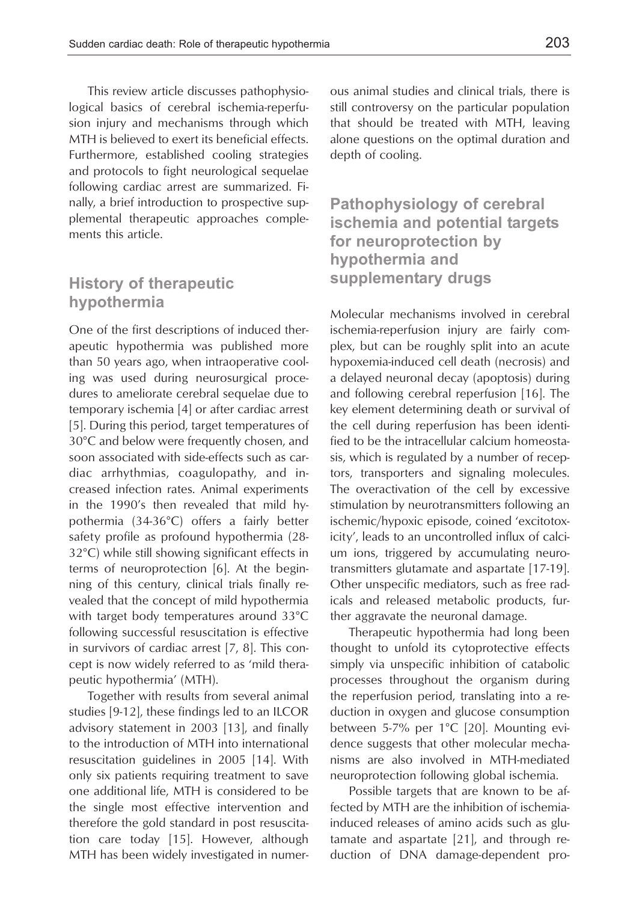This review article discusses pathophysiological basics of cerebral ischemia-reperfusion injury and mechanisms through which MTH is believed to exert its beneficial effects. Furthermore, established cooling strategies and protocols to fight neurological sequelae following cardiac arrest are summarized. Finally, a brief introduction to prospective supplemental therapeutic approaches complements this article.

### **History of therapeutic hypothermia**

One of the first descriptions of induced therapeutic hypothermia was published more than 50 years ago, when intraoperative cooling was used during neurosurgical procedures to ameliorate cerebral sequelae due to temporary ischemia [4] or after cardiac arrest [5]. During this period, target temperatures of 30°C and below were frequently chosen, and soon associated with side-effects such as cardiac arrhythmias, coagulopathy, and increased infection rates. Animal experiments in the 1990's then revealed that mild hypothermia (34-36°C) offers a fairly better safety profile as profound hypothermia (28- 32°C) while still showing significant effects in terms of neuroprotection [6]. At the beginning of this century, clinical trials finally revealed that the concept of mild hypothermia with target body temperatures around 33°C following successful resuscitation is effective in survivors of cardiac arrest [7, 8]. This concept is now widely referred to as 'mild therapeutic hypothermia' (MTH).

Together with results from several animal studies [9-12], these findings led to an ILCOR advisory statement in 2003 [13], and finally to the introduction of MTH into international resuscitation guidelines in 2005 [14]. With only six patients requiring treatment to save one additional life, MTH is considered to be the single most effective intervention and therefore the gold standard in post resuscitation care today [15]. However, although MTH has been widely investigated in numerous animal studies and clinical trials, there is still controversy on the particular population that should be treated with MTH, leaving alone questions on the optimal duration and depth of cooling.

**Pathophysiology of cerebral ischemia and potential targets for neuroprotection by hypothermia and supplementary drugs**

Molecular mechanisms involved in cerebral ischemia-reperfusion injury are fairly complex, but can be roughly split into an acute hypoxemia-induced cell death (necrosis) and a delayed neuronal decay (apoptosis) during and following cerebral reperfusion [16]. The key element determining death or survival of the cell during reperfusion has been identified to be the intracellular calcium homeostasis, which is regulated by a number of receptors, transporters and signaling molecules. The overactivation of the cell by excessive stimulation by neurotransmitters following an ischemic/hypoxic episode, coined 'excitotoxicity', leads to an uncontrolled influx of calcium ions, triggered by accumulating neurotransmitters glutamate and aspartate [17-19]. Other unspecific mediators, such as free radicals and released metabolic products, further aggravate the neuronal damage.

Therapeutic hypothermia had long been thought to unfold its cytoprotective effects simply via unspecific inhibition of catabolic processes throughout the organism during the reperfusion period, translating into a reduction in oxygen and glucose consumption between 5-7% per 1°C [20]. Mounting evidence suggests that other molecular mechanisms are also involved in MTH-mediated neuroprotection following global ischemia.

Possible targets that are known to be affected by MTH are the inhibition of ischemiainduced releases of amino acids such as glutamate and aspartate [21], and through reduction of DNA damage-dependent pro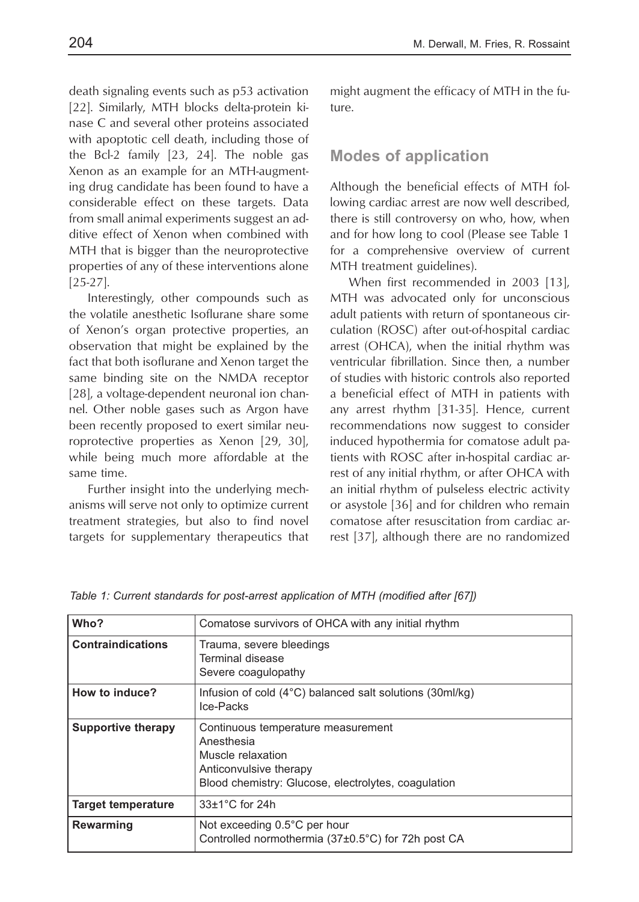death signaling events such as p53 activation [22]. Similarly, MTH blocks delta-protein kinase C and several other proteins associated with apoptotic cell death, including those of the Bcl-2 family [23, 24]. The noble gas Xenon as an example for an MTH-augmenting drug candidate has been found to have a considerable effect on these targets. Data from small animal experiments suggest an additive effect of Xenon when combined with MTH that is bigger than the neuroprotective properties of any of these interventions alone [25-27].

Interestingly, other compounds such as the volatile anesthetic Isoflurane share some of Xenon's organ protective properties, an observation that might be explained by the fact that both isoflurane and Xenon target the same binding site on the NMDA receptor [28], a voltage-dependent neuronal ion channel. Other noble gases such as Argon have been recently proposed to exert similar neuroprotective properties as Xenon [29, 30], while being much more affordable at the same time.

Further insight into the underlying mechanisms will serve not only to optimize current treatment strategies, but also to find novel targets for supplementary therapeutics that might augment the efficacy of MTH in the future.

#### **Modes of application**

Although the beneficial effects of MTH following cardiac arrest are now well described, there is still controversy on who, how, when and for how long to cool (Please see Table 1 for a comprehensive overview of current MTH treatment guidelines).

When first recommended in 2003 [13], MTH was advocated only for unconscious adult patients with return of spontaneous circulation (ROSC) after out-of-hospital cardiac arrest (OHCA), when the initial rhythm was ventricular fibrillation. Since then, a number of studies with historic controls also reported a beneficial effect of MTH in patients with any arrest rhythm [31-35]. Hence, current recommendations now suggest to consider induced hypothermia for comatose adult patients with ROSC after in-hospital cardiac arrest of any initial rhythm, or after OHCA with an initial rhythm of pulseless electric activity or asystole [36] and for children who remain comatose after resuscitation from cardiac arrest [37], although there are no randomized

| Who?                      | Comatose survivors of OHCA with any initial rhythm                                                                                                     |
|---------------------------|--------------------------------------------------------------------------------------------------------------------------------------------------------|
| <b>Contraindications</b>  | Trauma, severe bleedings<br>Terminal disease<br>Severe coagulopathy                                                                                    |
| How to induce?            | Infusion of cold (4°C) balanced salt solutions (30ml/kg)<br>Ice-Packs                                                                                  |
| Supportive therapy        | Continuous temperature measurement<br>Anesthesia<br>Muscle relaxation<br>Anticonvulsive therapy<br>Blood chemistry: Glucose, electrolytes, coagulation |
| <b>Target temperature</b> | $33\pm1$ °C for 24h                                                                                                                                    |
| <b>Rewarming</b>          | Not exceeding 0.5°C per hour<br>Controlled normothermia (37±0.5°C) for 72h post CA                                                                     |

*Table 1: Current standards for post-arrest application of MTH (modified after [67])*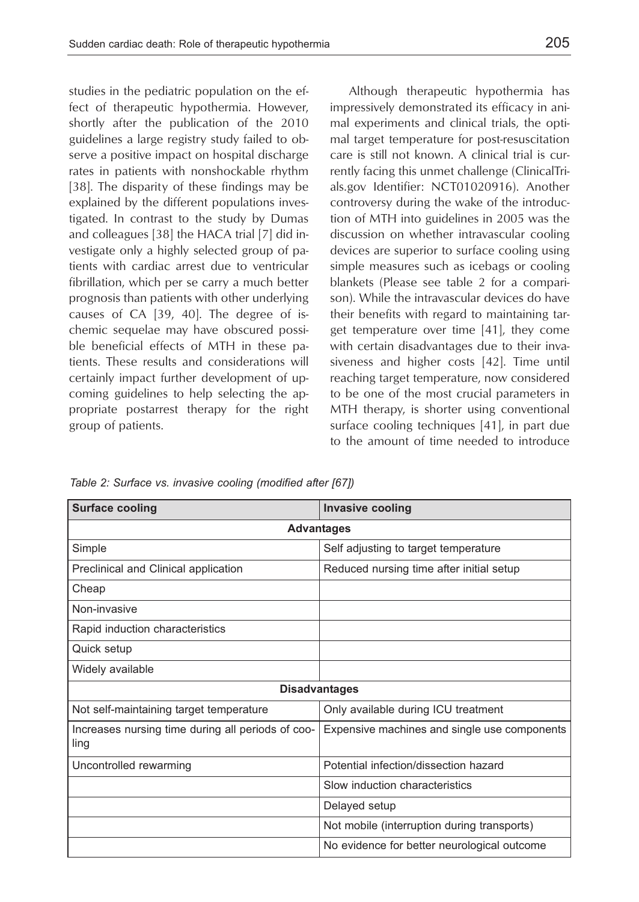studies in the pediatric population on the effect of therapeutic hypothermia. However, shortly after the publication of the 2010 guidelines a large registry study failed to observe a positive impact on hospital discharge rates in patients with nonshockable rhythm [38]. The disparity of these findings may be explained by the different populations investigated. In contrast to the study by Dumas and colleagues [38] the HACA trial [7] did investigate only a highly selected group of patients with cardiac arrest due to ventricular fibrillation, which per se carry a much better prognosis than patients with other underlying causes of CA [39, 40]. The degree of ischemic sequelae may have obscured possible beneficial effects of MTH in these patients. These results and considerations will certainly impact further development of upcoming guidelines to help selecting the appropriate postarrest therapy for the right group of patients.

Although therapeutic hypothermia has impressively demonstrated its efficacy in animal experiments and clinical trials, the optimal target temperature for post-resuscitation care is still not known. A clinical trial is currently facing this unmet challenge (ClinicalTrials.gov Identifier: NCT01020916). Another controversy during the wake of the introduction of MTH into guidelines in 2005 was the discussion on whether intravascular cooling devices are superior to surface cooling using simple measures such as icebags or cooling blankets (Please see table 2 for a comparison). While the intravascular devices do have their benefits with regard to maintaining target temperature over time [41], they come with certain disadvantages due to their invasiveness and higher costs [42]. Time until reaching target temperature, now considered to be one of the most crucial parameters in MTH therapy, is shorter using conventional surface cooling techniques [41], in part due to the amount of time needed to introduce

| <b>Surface cooling</b>                                    | <b>Invasive cooling</b>                      |  |  |
|-----------------------------------------------------------|----------------------------------------------|--|--|
| <b>Advantages</b>                                         |                                              |  |  |
| Simple                                                    | Self adjusting to target temperature         |  |  |
| Preclinical and Clinical application                      | Reduced nursing time after initial setup     |  |  |
| Cheap                                                     |                                              |  |  |
| Non-invasive                                              |                                              |  |  |
| Rapid induction characteristics                           |                                              |  |  |
| Quick setup                                               |                                              |  |  |
| Widely available                                          |                                              |  |  |
| <b>Disadvantages</b>                                      |                                              |  |  |
| Not self-maintaining target temperature                   | Only available during ICU treatment          |  |  |
| Increases nursing time during all periods of coo-<br>ling | Expensive machines and single use components |  |  |
| Uncontrolled rewarming                                    | Potential infection/dissection hazard        |  |  |
|                                                           | Slow induction characteristics               |  |  |
|                                                           | Delayed setup                                |  |  |
|                                                           | Not mobile (interruption during transports)  |  |  |
|                                                           | No evidence for better neurological outcome  |  |  |

*Table 2: Surface vs. invasive cooling (modified after [67])*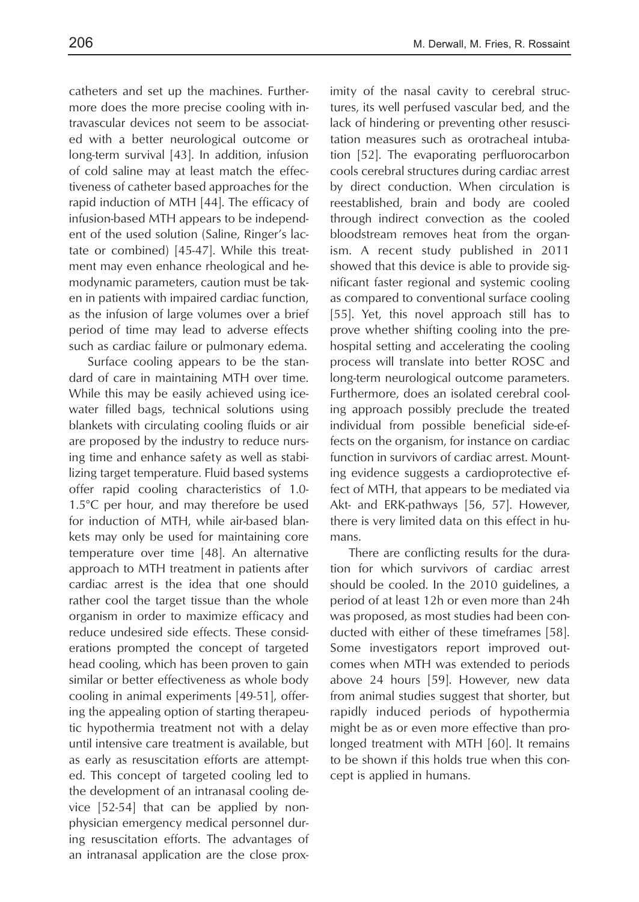catheters and set up the machines. Furthermore does the more precise cooling with intravascular devices not seem to be associated with a better neurological outcome or long-term survival [43]. In addition, infusion of cold saline may at least match the effectiveness of catheter based approaches for the rapid induction of MTH [44]. The efficacy of infusion-based MTH appears to be independent of the used solution (Saline, Ringer's lactate or combined) [45-47]. While this treatment may even enhance rheological and hemodynamic parameters, caution must be taken in patients with impaired cardiac function, as the infusion of large volumes over a brief period of time may lead to adverse effects such as cardiac failure or pulmonary edema.

Surface cooling appears to be the standard of care in maintaining MTH over time. While this may be easily achieved using icewater filled bags, technical solutions using blankets with circulating cooling fluids or air are proposed by the industry to reduce nursing time and enhance safety as well as stabilizing target temperature. Fluid based systems offer rapid cooling characteristics of 1.0- 1.5°C per hour, and may therefore be used for induction of MTH, while air-based blankets may only be used for maintaining core temperature over time [48]. An alternative approach to MTH treatment in patients after cardiac arrest is the idea that one should rather cool the target tissue than the whole organism in order to maximize efficacy and reduce undesired side effects. These considerations prompted the concept of targeted head cooling, which has been proven to gain similar or better effectiveness as whole body cooling in animal experiments [49-51], offering the appealing option of starting therapeutic hypothermia treatment not with a delay until intensive care treatment is available, but as early as resuscitation efforts are attempted. This concept of targeted cooling led to the development of an intranasal cooling device [52-54] that can be applied by nonphysician emergency medical personnel during resuscitation efforts. The advantages of an intranasal application are the close proximity of the nasal cavity to cerebral structures, its well perfused vascular bed, and the lack of hindering or preventing other resuscitation measures such as orotracheal intubation [52]. The evaporating perfluorocarbon cools cerebral structures during cardiac arrest by direct conduction. When circulation is reestablished, brain and body are cooled through indirect convection as the cooled bloodstream removes heat from the organism. A recent study published in 2011 showed that this device is able to provide significant faster regional and systemic cooling as compared to conventional surface cooling [55]. Yet, this novel approach still has to prove whether shifting cooling into the prehospital setting and accelerating the cooling process will translate into better ROSC and long-term neurological outcome parameters. Furthermore, does an isolated cerebral cooling approach possibly preclude the treated individual from possible beneficial side-effects on the organism, for instance on cardiac function in survivors of cardiac arrest. Mounting evidence suggests a cardioprotective effect of MTH, that appears to be mediated via Akt- and ERK-pathways [56, 57]. However, there is very limited data on this effect in humans.

There are conflicting results for the duration for which survivors of cardiac arrest should be cooled. In the 2010 guidelines, a period of at least 12h or even more than 24h was proposed, as most studies had been conducted with either of these timeframes [58]. Some investigators report improved outcomes when MTH was extended to periods above 24 hours [59]. However, new data from animal studies suggest that shorter, but rapidly induced periods of hypothermia might be as or even more effective than prolonged treatment with MTH [60]. It remains to be shown if this holds true when this concept is applied in humans.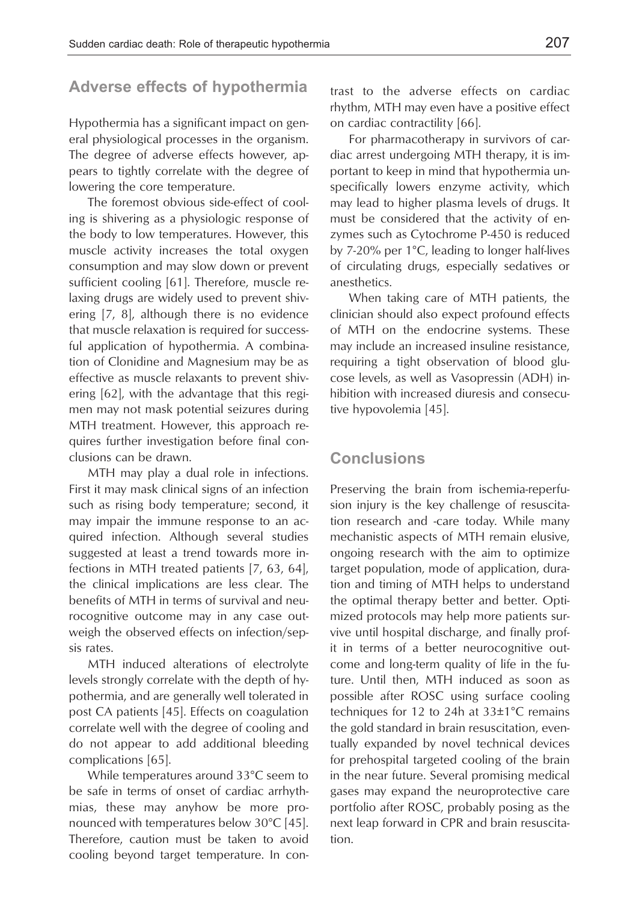## **Adverse effects of hypothermia**

Hypothermia has a significant impact on general physiological processes in the organism. The degree of adverse effects however, appears to tightly correlate with the degree of lowering the core temperature.

The foremost obvious side-effect of cooling is shivering as a physiologic response of the body to low temperatures. However, this muscle activity increases the total oxygen consumption and may slow down or prevent sufficient cooling [61]. Therefore, muscle relaxing drugs are widely used to prevent shivering [7, 8], although there is no evidence that muscle relaxation is required for successful application of hypothermia. A combination of Clonidine and Magnesium may be as effective as muscle relaxants to prevent shivering [62], with the advantage that this regimen may not mask potential seizures during MTH treatment. However, this approach requires further investigation before final conclusions can be drawn.

MTH may play a dual role in infections. First it may mask clinical signs of an infection such as rising body temperature; second, it may impair the immune response to an acquired infection. Although several studies suggested at least a trend towards more infections in MTH treated patients [7, 63, 64], the clinical implications are less clear. The benefits of MTH in terms of survival and neurocognitive outcome may in any case outweigh the observed effects on infection/sepsis rates.

MTH induced alterations of electrolyte levels strongly correlate with the depth of hypothermia, and are generally well tolerated in post CA patients [45]. Effects on coagulation correlate well with the degree of cooling and do not appear to add additional bleeding complications [65].

While temperatures around 33°C seem to be safe in terms of onset of cardiac arrhythmias, these may anyhow be more pronounced with temperatures below 30°C [45]. Therefore, caution must be taken to avoid cooling beyond target temperature. In contrast to the adverse effects on cardiac rhythm, MTH may even have a positive effect on cardiac contractility [66].

For pharmacotherapy in survivors of cardiac arrest undergoing MTH therapy, it is important to keep in mind that hypothermia unspecifically lowers enzyme activity, which may lead to higher plasma levels of drugs. It must be considered that the activity of enzymes such as Cytochrome P-450 is reduced by 7-20% per 1°C, leading to longer half-lives of circulating drugs, especially sedatives or anesthetics.

When taking care of MTH patients, the clinician should also expect profound effects of MTH on the endocrine systems. These may include an increased insuline resistance, requiring a tight observation of blood glucose levels, as well as Vasopressin (ADH) inhibition with increased diuresis and consecutive hypovolemia [45].

### **Conclusions**

Preserving the brain from ischemia-reperfusion injury is the key challenge of resuscitation research and -care today. While many mechanistic aspects of MTH remain elusive, ongoing research with the aim to optimize target population, mode of application, duration and timing of MTH helps to understand the optimal therapy better and better. Optimized protocols may help more patients survive until hospital discharge, and finally profit in terms of a better neurocognitive outcome and long-term quality of life in the future. Until then, MTH induced as soon as possible after ROSC using surface cooling techniques for 12 to 24h at 33±1°C remains the gold standard in brain resuscitation, eventually expanded by novel technical devices for prehospital targeted cooling of the brain in the near future. Several promising medical gases may expand the neuroprotective care portfolio after ROSC, probably posing as the next leap forward in CPR and brain resuscitation.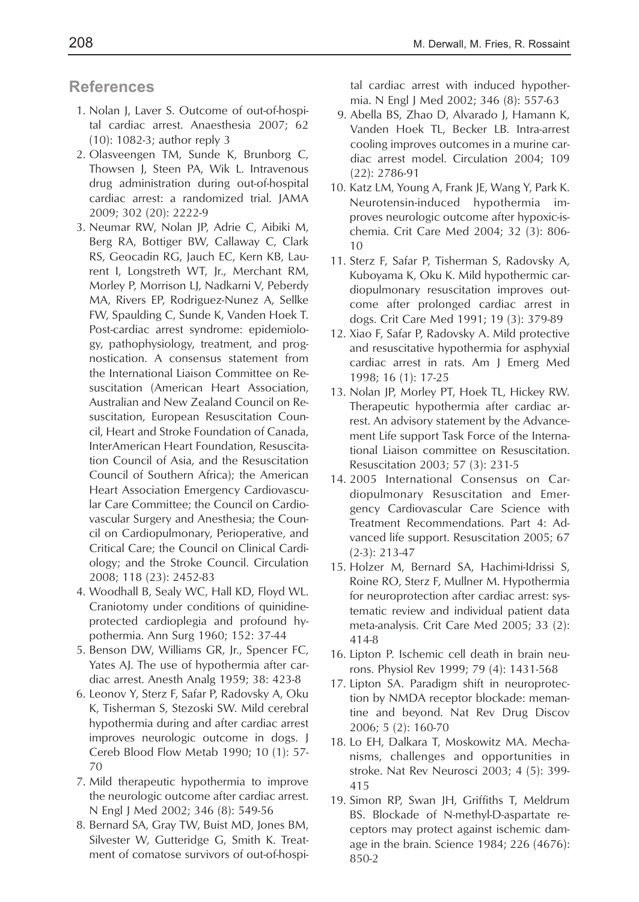### **References**

- 1. Nolan J, Laver S. Outcome of out-of-hospital cardiac arrest. Anaesthesia 2007; 62 (10): 1082-3; author reply 3
- 2. Olasveengen TM, Sunde K, Brunborg C, Thowsen J, Steen PA, Wik L. Intravenous drug administration during out-of-hospital cardiac arrest: a randomized trial. JAMA 2009; 302 (20): 2222-9
- 3. Neumar RW, Nolan JP, Adrie C, Aibiki M, Berg RA, Bottiger BW, Callaway C, Clark RS, Geocadin RG, Jauch EC, Kern KB, Laurent I, Longstreth WT, Jr., Merchant RM, Morley P, Morrison LJ, Nadkarni V, Peberdy MA, Rivers EP, Rodriguez-Nunez A, Sellke FW, Spaulding C, Sunde K, Vanden Hoek T. Post-cardiac arrest syndrome: epidemiology, pathophysiology, treatment, and prognostication. A consensus statement from the International Liaison Committee on Resuscitation (American Heart Association, Australian and New Zealand Council on Resuscitation, European Resuscitation Council, Heart and Stroke Foundation of Canada, InterAmerican Heart Foundation, Resuscitation Council of Asia, and the Resuscitation Council of Southern Africa); the American Heart Association Emergency Cardiovascular Care Committee; the Council on Cardiovascular Surgery and Anesthesia; the Council on Cardiopulmonary, Perioperative, and Critical Care; the Council on Clinical Cardiology; and the Stroke Council. Circulation 2008; 118 (23): 2452-83
- 4. Woodhall B, Sealy WC, Hall KD, Floyd WL. Craniotomy under conditions of quinidineprotected cardioplegia and profound hypothermia. Ann Surg 1960; 152: 37-44
- 5. Benson DW, Williams GR, Jr., Spencer FC, Yates AJ. The use of hypothermia after cardiac arrest. Anesth Analg 1959; 38: 423-8
- 6. Leonov Y, Sterz F, Safar P, Radovsky A, Oku K, Tisherman S, Stezoski SW. Mild cerebral hypothermia during and after cardiac arrest improves neurologic outcome in dogs. J Cereb Blood Flow Metab 1990; 10 (1): 57- 70
- 7. Mild therapeutic hypothermia to improve the neurologic outcome after cardiac arrest. N Engl J Med 2002; 346 (8): 549-56
- 8. Bernard SA, Gray TW, Buist MD, Jones BM, Silvester W, Gutteridge G, Smith K. Treatment of comatose survivors of out-of-hospi-

tal cardiac arrest with induced hypothermia. N Engl J Med 2002; 346 (8): 557-63

- 9. Abella BS, Zhao D, Alvarado J, Hamann K, Vanden Hoek TL, Becker LB. Intra-arrest cooling improves outcomes in a murine cardiac arrest model. Circulation 2004; 109 (22): 2786-91
- 10. Katz LM, Young A, Frank JE, Wang Y, Park K. Neurotensin-induced hypothermia improves neurologic outcome after hypoxic-ischemia. Crit Care Med 2004; 32 (3): 806- 10
- 11. Sterz F, Safar P, Tisherman S, Radovsky A, Kuboyama K, Oku K. Mild hypothermic cardiopulmonary resuscitation improves outcome after prolonged cardiac arrest in dogs. Crit Care Med 1991; 19 (3): 379-89
- 12. Xiao F, Safar P, Radovsky A. Mild protective and resuscitative hypothermia for asphyxial cardiac arrest in rats. Am J Emerg Med 1998; 16 (1): 17-25
- 13. Nolan JP, Morley PT, Hoek TL, Hickey RW. Therapeutic hypothermia after cardiac arrest. An advisory statement by the Advancement Life support Task Force of the International Liaison committee on Resuscitation. Resuscitation 2003; 57 (3): 231-5
- 14. 2005 International Consensus on Cardiopulmonary Resuscitation and Emergency Cardiovascular Care Science with Treatment Recommendations. Part 4: Advanced life support. Resuscitation 2005; 67 (2-3): 213-47
- 15. Holzer M, Bernard SA, Hachimi-Idrissi S, Roine RO, Sterz F, Mullner M. Hypothermia for neuroprotection after cardiac arrest: systematic review and individual patient data meta-analysis. Crit Care Med 2005; 33 (2): 414-8
- 16. Lipton P. Ischemic cell death in brain neurons. Physiol Rev 1999; 79 (4): 1431-568
- 17. Lipton SA. Paradigm shift in neuroprotection by NMDA receptor blockade: memantine and beyond. Nat Rev Drug Discov 2006; 5 (2): 160-70
- 18. Lo EH, Dalkara T, Moskowitz MA. Mechanisms, challenges and opportunities in stroke. Nat Rev Neurosci 2003; 4 (5): 399- 415
- 19. Simon RP, Swan JH, Griffiths T, Meldrum BS. Blockade of N-methyl-D-aspartate receptors may protect against ischemic damage in the brain. Science 1984; 226 (4676): 850-2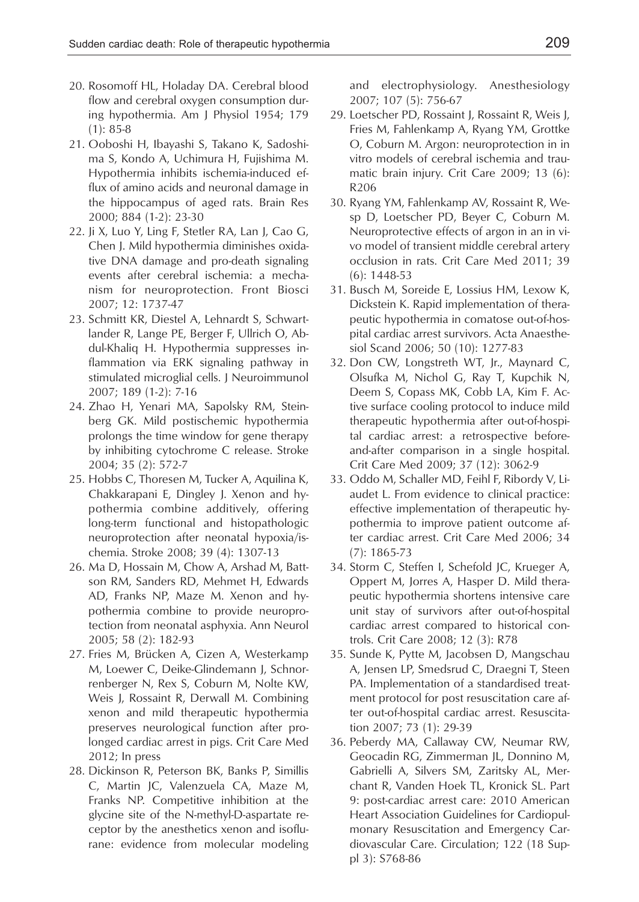- and electrophysiology. Anesthesiology 2007; 107 (5): 756-67
	- 29. Loetscher PD, Rossaint J, Rossaint R, Weis J, Fries M, Fahlenkamp A, Ryang YM, Grottke O, Coburn M. Argon: neuroprotection in in vitro models of cerebral ischemia and traumatic brain injury. Crit Care 2009; 13 (6): R206
	- 30. Ryang YM, Fahlenkamp AV, Rossaint R, Wesp D, Loetscher PD, Beyer C, Coburn M. Neuroprotective effects of argon in an in vivo model of transient middle cerebral artery occlusion in rats. Crit Care Med 2011; 39 (6): 1448-53
	- 31. Busch M, Soreide E, Lossius HM, Lexow K, Dickstein K. Rapid implementation of therapeutic hypothermia in comatose out-of-hospital cardiac arrest survivors. Acta Anaesthesiol Scand 2006; 50 (10): 1277-83
	- 32. Don CW, Longstreth WT, Jr., Maynard C, Olsufka M, Nichol G, Ray T, Kupchik N, Deem S, Copass MK, Cobb LA, Kim F. Active surface cooling protocol to induce mild therapeutic hypothermia after out-of-hospital cardiac arrest: a retrospective beforeand-after comparison in a single hospital. Crit Care Med 2009; 37 (12): 3062-9
	- 33. Oddo M, Schaller MD, Feihl F, Ribordy V, Liaudet L. From evidence to clinical practice: effective implementation of therapeutic hypothermia to improve patient outcome after cardiac arrest. Crit Care Med 2006; 34 (7): 1865-73
	- 34. Storm C, Steffen I, Schefold JC, Krueger A, Oppert M, Jorres A, Hasper D. Mild therapeutic hypothermia shortens intensive care unit stay of survivors after out-of-hospital cardiac arrest compared to historical controls. Crit Care 2008; 12 (3): R78
	- 35. Sunde K, Pytte M, Jacobsen D, Mangschau A, Jensen LP, Smedsrud C, Draegni T, Steen PA. Implementation of a standardised treatment protocol for post resuscitation care after out-of-hospital cardiac arrest. Resuscitation 2007; 73 (1): 29-39
	- 36. Peberdy MA, Callaway CW, Neumar RW, Geocadin RG, Zimmerman JL, Donnino M, Gabrielli A, Silvers SM, Zaritsky AL, Merchant R, Vanden Hoek TL, Kronick SL. Part 9: post-cardiac arrest care: 2010 American Heart Association Guidelines for Cardiopulmonary Resuscitation and Emergency Cardiovascular Care. Circulation; 122 (18 Suppl 3): S768-86
- 20. Rosomoff HL, Holaday DA. Cerebral blood flow and cerebral oxygen consumption during hypothermia. Am J Physiol 1954; 179 (1): 85-8
- 21. Ooboshi H, Ibayashi S, Takano K, Sadoshima S, Kondo A, Uchimura H, Fujishima M. Hypothermia inhibits ischemia-induced efflux of amino acids and neuronal damage in the hippocampus of aged rats. Brain Res 2000; 884 (1-2): 23-30
- 22. Ji X, Luo Y, Ling F, Stetler RA, Lan J, Cao G, Chen J. Mild hypothermia diminishes oxidative DNA damage and pro-death signaling events after cerebral ischemia: a mechanism for neuroprotection. Front Biosci 2007; 12: 1737-47
- 23. Schmitt KR, Diestel A, Lehnardt S, Schwartlander R, Lange PE, Berger F, Ullrich O, Abdul-Khaliq H. Hypothermia suppresses inflammation via ERK signaling pathway in stimulated microglial cells. J Neuroimmunol 2007; 189 (1-2): 7-16
- 24. Zhao H, Yenari MA, Sapolsky RM, Steinberg GK. Mild postischemic hypothermia prolongs the time window for gene therapy by inhibiting cytochrome C release. Stroke 2004; 35 (2): 572-7
- 25. Hobbs C, Thoresen M, Tucker A, Aquilina K, Chakkarapani E, Dingley J. Xenon and hypothermia combine additively, offering long-term functional and histopathologic neuroprotection after neonatal hypoxia/ischemia. Stroke 2008; 39 (4): 1307-13
- 26. Ma D, Hossain M, Chow A, Arshad M, Battson RM, Sanders RD, Mehmet H, Edwards AD, Franks NP, Maze M. Xenon and hypothermia combine to provide neuroprotection from neonatal asphyxia. Ann Neurol 2005; 58 (2): 182-93
- 27. Fries M, Brücken A, Cizen A, Westerkamp M, Loewer C, Deike-Glindemann J, Schnorrenberger N, Rex S, Coburn M, Nolte KW, Weis J, Rossaint R, Derwall M. Combining xenon and mild therapeutic hypothermia preserves neurological function after prolonged cardiac arrest in pigs. Crit Care Med 2012; In press
- 28. Dickinson R, Peterson BK, Banks P, Simillis C, Martin JC, Valenzuela CA, Maze M, Franks NP. Competitive inhibition at the glycine site of the N-methyl-D-aspartate receptor by the anesthetics xenon and isoflurane: evidence from molecular modeling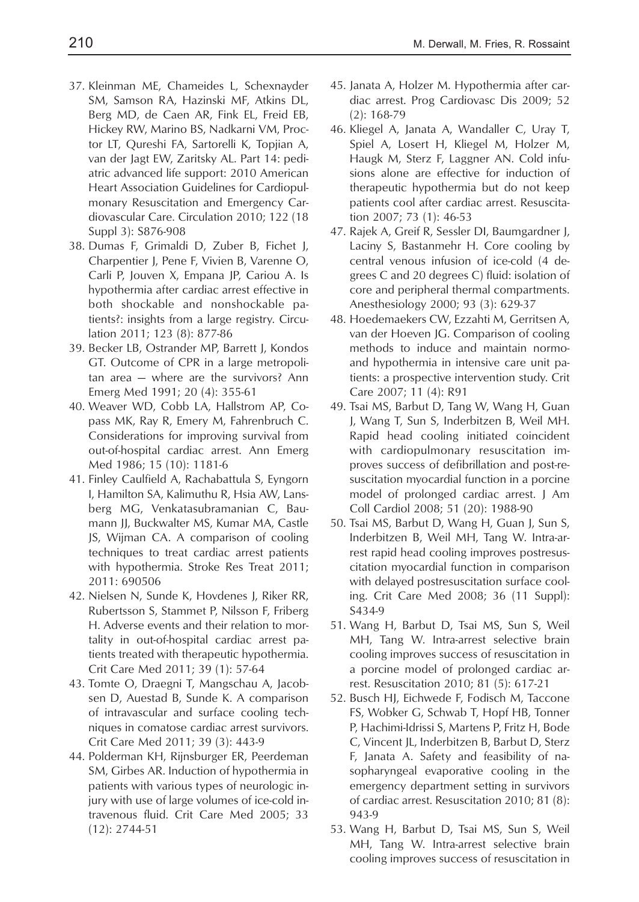- 37. Kleinman ME, Chameides L, Schexnayder SM, Samson RA, Hazinski MF, Atkins DL, Berg MD, de Caen AR, Fink EL, Freid EB, Hickey RW, Marino BS, Nadkarni VM, Proctor LT, Qureshi FA, Sartorelli K, Topjian A, van der Jagt EW, Zaritsky AL. Part 14: pediatric advanced life support: 2010 American Heart Association Guidelines for Cardiopulmonary Resuscitation and Emergency Cardiovascular Care. Circulation 2010; 122 (18 Suppl 3): S876-908
- 38. Dumas F, Grimaldi D, Zuber B, Fichet J, Charpentier J, Pene F, Vivien B, Varenne O, Carli P, Jouven X, Empana JP, Cariou A. Is hypothermia after cardiac arrest effective in both shockable and nonshockable patients?: insights from a large registry. Circulation 2011; 123 (8): 877-86
- 39. Becker LB, Ostrander MP, Barrett J, Kondos GT. Outcome of CPR in a large metropolitan area — where are the survivors? Ann Emerg Med 1991; 20 (4): 355-61
- 40. Weaver WD, Cobb LA, Hallstrom AP, Copass MK, Ray R, Emery M, Fahrenbruch C. Considerations for improving survival from out-of-hospital cardiac arrest. Ann Emerg Med 1986; 15 (10): 1181-6
- 41. Finley Caulfield A, Rachabattula S, Eyngorn I, Hamilton SA, Kalimuthu R, Hsia AW, Lansberg MG, Venkatasubramanian C, Baumann JJ, Buckwalter MS, Kumar MA, Castle JS, Wijman CA. A comparison of cooling techniques to treat cardiac arrest patients with hypothermia. Stroke Res Treat 2011; 2011: 690506
- 42. Nielsen N, Sunde K, Hovdenes J, Riker RR, Rubertsson S, Stammet P, Nilsson F, Friberg H. Adverse events and their relation to mortality in out-of-hospital cardiac arrest patients treated with therapeutic hypothermia. Crit Care Med 2011; 39 (1): 57-64
- 43. Tomte O, Draegni T, Mangschau A, Jacobsen D, Auestad B, Sunde K. A comparison of intravascular and surface cooling techniques in comatose cardiac arrest survivors. Crit Care Med 2011; 39 (3): 443-9
- 44. Polderman KH, Rijnsburger ER, Peerdeman SM, Girbes AR. Induction of hypothermia in patients with various types of neurologic injury with use of large volumes of ice-cold intravenous fluid. Crit Care Med 2005; 33 (12): 2744-51
- 45. Janata A, Holzer M. Hypothermia after cardiac arrest. Prog Cardiovasc Dis 2009; 52 (2): 168-79
- 46. Kliegel A, Janata A, Wandaller C, Uray T, Spiel A, Losert H, Kliegel M, Holzer M, Haugk M, Sterz F, Laggner AN. Cold infusions alone are effective for induction of therapeutic hypothermia but do not keep patients cool after cardiac arrest. Resuscitation 2007; 73 (1): 46-53
- 47. Rajek A, Greif R, Sessler DI, Baumgardner J, Laciny S, Bastanmehr H. Core cooling by central venous infusion of ice-cold (4 degrees C and 20 degrees C) fluid: isolation of core and peripheral thermal compartments. Anesthesiology 2000; 93 (3): 629-37
- 48. Hoedemaekers CW, Ezzahti M, Gerritsen A, van der Hoeven JG. Comparison of cooling methods to induce and maintain normoand hypothermia in intensive care unit patients: a prospective intervention study. Crit Care 2007; 11 (4): R91
- 49. Tsai MS, Barbut D, Tang W, Wang H, Guan J, Wang T, Sun S, Inderbitzen B, Weil MH. Rapid head cooling initiated coincident with cardiopulmonary resuscitation improves success of defibrillation and post-resuscitation myocardial function in a porcine model of prolonged cardiac arrest. J Am Coll Cardiol 2008; 51 (20): 1988-90
- 50. Tsai MS, Barbut D, Wang H, Guan J, Sun S, Inderbitzen B, Weil MH, Tang W. Intra-arrest rapid head cooling improves postresuscitation myocardial function in comparison with delayed postresuscitation surface cooling. Crit Care Med 2008; 36 (11 Suppl): S434-9
- 51. Wang H, Barbut D, Tsai MS, Sun S, Weil MH, Tang W. Intra-arrest selective brain cooling improves success of resuscitation in a porcine model of prolonged cardiac arrest. Resuscitation 2010; 81 (5): 617-21
- 52. Busch HJ, Eichwede F, Fodisch M, Taccone FS, Wobker G, Schwab T, Hopf HB, Tonner P, Hachimi-Idrissi S, Martens P, Fritz H, Bode C, Vincent JL, Inderbitzen B, Barbut D, Sterz F, Janata A. Safety and feasibility of nasopharyngeal evaporative cooling in the emergency department setting in survivors of cardiac arrest. Resuscitation 2010; 81 (8): 943-9
- 53. Wang H, Barbut D, Tsai MS, Sun S, Weil MH, Tang W. Intra-arrest selective brain cooling improves success of resuscitation in